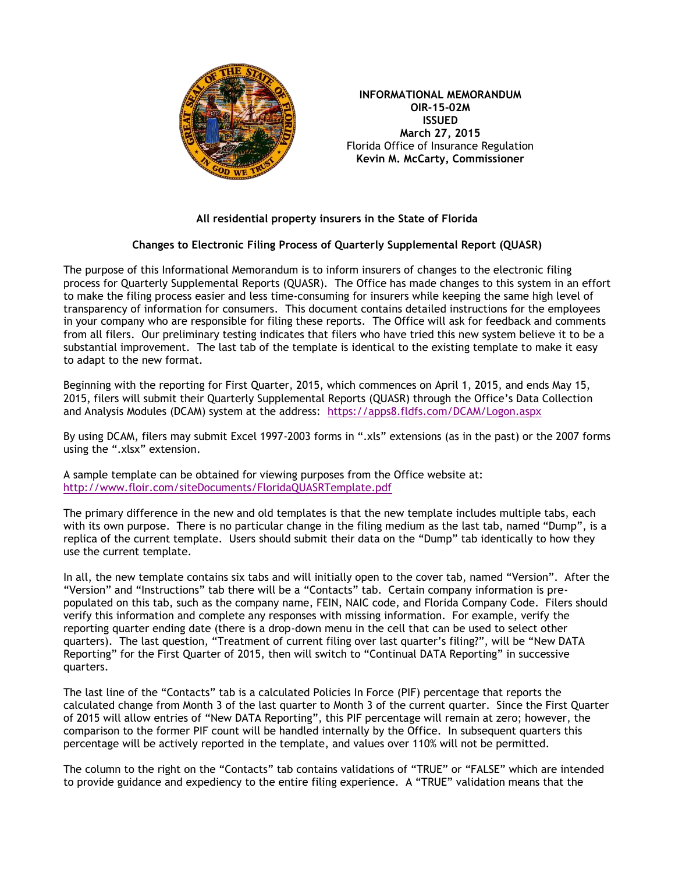

**INFORMATIONAL MEMORANDUM OIR-15-02M ISSUED March 27, 2015** Florida Office of Insurance Regulation **Kevin M. McCarty, Commissioner** 

## **All residential property insurers in the State of Florida**

## **Changes to Electronic Filing Process of Quarterly Supplemental Report (QUASR)**

The purpose of this Informational Memorandum is to inform insurers of changes to the electronic filing process for Quarterly Supplemental Reports (QUASR). The Office has made changes to this system in an effort to make the filing process easier and less time-consuming for insurers while keeping the same high level of transparency of information for consumers. This document contains detailed instructions for the employees in your company who are responsible for filing these reports. The Office will ask for feedback and comments from all filers. Our preliminary testing indicates that filers who have tried this new system believe it to be a substantial improvement. The last tab of the template is identical to the existing template to make it easy to adapt to the new format.

Beginning with the reporting for First Quarter, 2015, which commences on April 1, 2015, and ends May 15, 2015, filers will submit their Quarterly Supplemental Reports (QUASR) through the Office's Data Collection and Analysis Modules (DCAM) system at the address: <https://apps8.fldfs.com/DCAM/Logon.aspx>

By using DCAM, filers may submit Excel 1997-2003 forms in ".xls" extensions (as in the past) or the 2007 forms using the ".xlsx" extension.

A sample template can be obtained for viewing purposes from the Office website at: <http://www.floir.com/siteDocuments/FloridaQUASRTemplate.pdf>

The primary difference in the new and old templates is that the new template includes multiple tabs, each with its own purpose. There is no particular change in the filing medium as the last tab, named "Dump", is a replica of the current template. Users should submit their data on the "Dump" tab identically to how they use the current template.

In all, the new template contains six tabs and will initially open to the cover tab, named "Version". After the "Version" and "Instructions" tab there will be a "Contacts" tab. Certain company information is prepopulated on this tab, such as the company name, FEIN, NAIC code, and Florida Company Code. Filers should verify this information and complete any responses with missing information. For example, verify the reporting quarter ending date (there is a drop-down menu in the cell that can be used to select other quarters). The last question, "Treatment of current filing over last quarter's filing?", will be "New DATA Reporting" for the First Quarter of 2015, then will switch to "Continual DATA Reporting" in successive quarters.

The last line of the "Contacts" tab is a calculated Policies In Force (PIF) percentage that reports the calculated change from Month 3 of the last quarter to Month 3 of the current quarter. Since the First Quarter of 2015 will allow entries of "New DATA Reporting", this PIF percentage will remain at zero; however, the comparison to the former PIF count will be handled internally by the Office. In subsequent quarters this percentage will be actively reported in the template, and values over 110% will not be permitted.

The column to the right on the "Contacts" tab contains validations of "TRUE" or "FALSE" which are intended to provide guidance and expediency to the entire filing experience. A "TRUE" validation means that the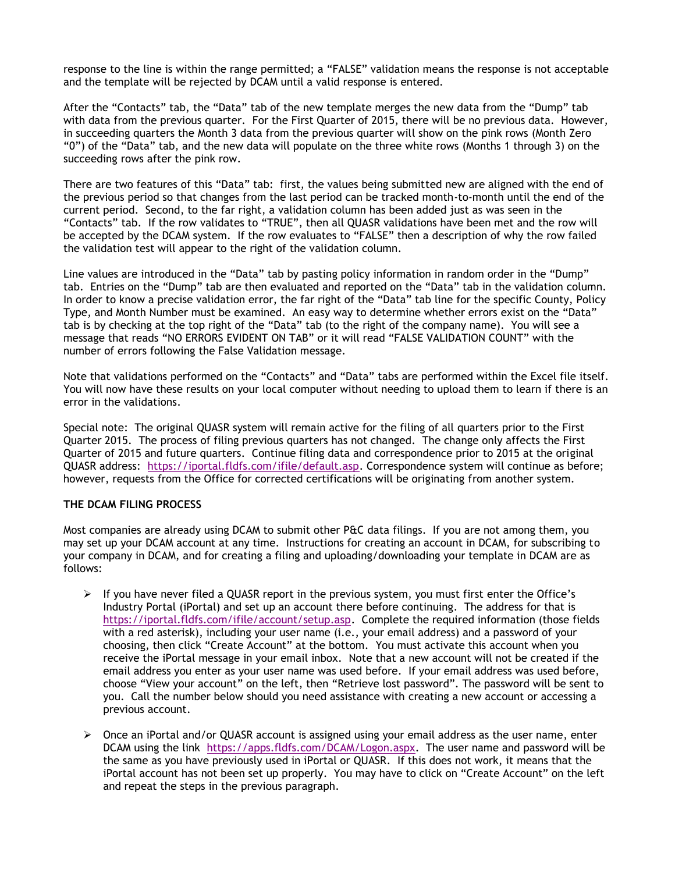response to the line is within the range permitted; a "FALSE" validation means the response is not acceptable and the template will be rejected by DCAM until a valid response is entered.

After the "Contacts" tab, the "Data" tab of the new template merges the new data from the "Dump" tab with data from the previous quarter. For the First Quarter of 2015, there will be no previous data. However, in succeeding quarters the Month 3 data from the previous quarter will show on the pink rows (Month Zero "0") of the "Data" tab, and the new data will populate on the three white rows (Months 1 through 3) on the succeeding rows after the pink row.

There are two features of this "Data" tab: first, the values being submitted new are aligned with the end of the previous period so that changes from the last period can be tracked month-to-month until the end of the current period. Second, to the far right, a validation column has been added just as was seen in the "Contacts" tab. If the row validates to "TRUE", then all QUASR validations have been met and the row will be accepted by the DCAM system. If the row evaluates to "FALSE" then a description of why the row failed the validation test will appear to the right of the validation column.

Line values are introduced in the "Data" tab by pasting policy information in random order in the "Dump" tab. Entries on the "Dump" tab are then evaluated and reported on the "Data" tab in the validation column. In order to know a precise validation error, the far right of the "Data" tab line for the specific County, Policy Type, and Month Number must be examined. An easy way to determine whether errors exist on the "Data" tab is by checking at the top right of the "Data" tab (to the right of the company name). You will see a message that reads "NO ERRORS EVIDENT ON TAB" or it will read "FALSE VALIDATION COUNT" with the number of errors following the False Validation message.

Note that validations performed on the "Contacts" and "Data" tabs are performed within the Excel file itself. You will now have these results on your local computer without needing to upload them to learn if there is an error in the validations.

Special note: The original QUASR system will remain active for the filing of all quarters prior to the First Quarter 2015. The process of filing previous quarters has not changed. The change only affects the First Quarter of 2015 and future quarters. Continue filing data and correspondence prior to 2015 at the original QUASR address: [https://iportal.fldfs.com/ifile/default.asp.](https://iportal.fldfs.com/ifile/default.asp) Correspondence system will continue as before; however, requests from the Office for corrected certifications will be originating from another system.

## **THE DCAM FILING PROCESS**

Most companies are already using DCAM to submit other P&C data filings. If you are not among them, you may set up your DCAM account at any time. Instructions for creating an account in DCAM, for subscribing to your company in DCAM, and for creating a filing and uploading/downloading your template in DCAM are as follows:

- $\triangleright$  If you have never filed a QUASR report in the previous system, you must first enter the Office's Industry Portal (iPortal) and set up an account there before continuing. The address for that is [https://iportal.fldfs.com/ifile/account/setup.asp.](https://iportal.fldfs.com/ifile/account/setup.asp) Complete the required information (those fields with a red asterisk), including your user name (i.e., your email address) and a password of your choosing, then click "Create Account" at the bottom. You must activate this account when you receive the iPortal message in your email inbox. Note that a new account will not be created if the email address you enter as your user name was used before. If your email address was used before, choose "View your account" on the left, then "Retrieve lost password". The password will be sent to you. Call the number below should you need assistance with creating a new account or accessing a previous account.
- $\triangleright$  Once an iPortal and/or QUASR account is assigned using your email address as the user name, enter DCAM using the link [https://apps.fldfs.com/DCAM/Logon.aspx.](https://apps.fldfs.com/DCAM/Logon.aspx) The user name and password will be the same as you have previously used in iPortal or QUASR. If this does not work, it means that the iPortal account has not been set up properly. You may have to click on "Create Account" on the left and repeat the steps in the previous paragraph.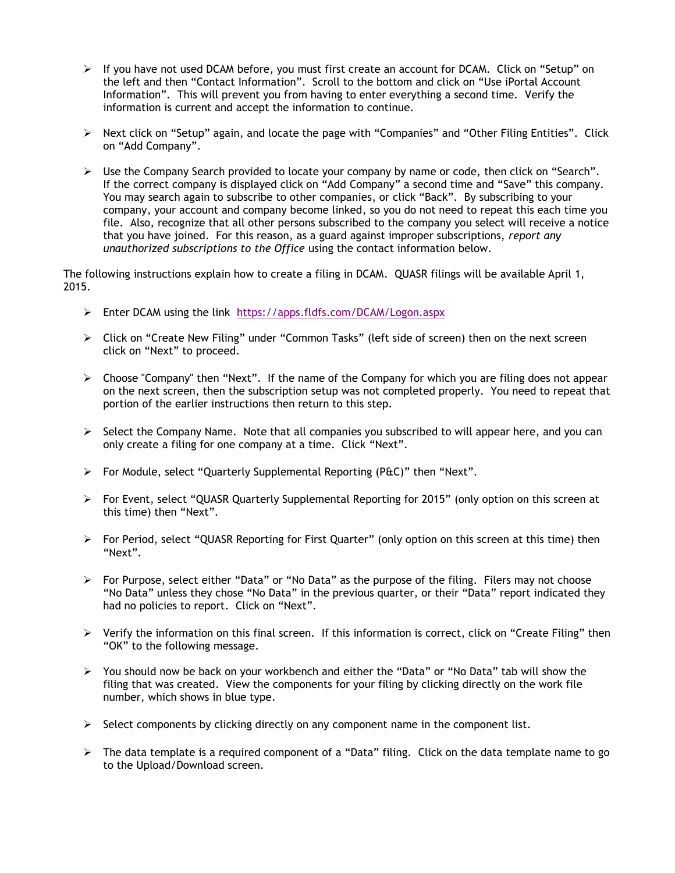- $\triangleright$  If you have not used DCAM before, you must first create an account for DCAM. Click on "Setup" on the left and then "Contact Information". Scroll to the bottom and click on "Use iPortal Account Information". This will prevent you from having to enter everything a second time. Verify the information is current and accept the information to continue.
- $\triangleright$  Next click on "Setup" again, and locate the page with "Companies" and "Other Filing Entities". Click on "Add Company".
- $\triangleright$  Use the Company Search provided to locate your company by name or code, then click on "Search". If the correct company is displayed click on "Add Company" a second time and "Save" this company. You may search again to subscribe to other companies, or click "Back". By subscribing to your company, your account and company become linked, so you do not need to repeat this each time you file. Also, recognize that all other persons subscribed to the company you select will receive a notice that you have joined. For this reason, as a guard against improper subscriptions, *report any unauthorized subscriptions to the Office* using the contact information below.

The following instructions explain how to create a filing in DCAM. QUASR filings will be available April 1, 2015.

- Enter DCAM using the link <https://apps.fldfs.com/DCAM/Logon.aspx>
- Click on "Create New Filing" under "Common Tasks" (left side of screen) then on the next screen click on "Next" to proceed.
- $\triangleright$  Choose "Company" then "Next". If the name of the Company for which you are filing does not appear on the next screen, then the subscription setup was not completed properly. You need to repeat that portion of the earlier instructions then return to this step.
- $\triangleright$  Select the Company Name. Note that all companies you subscribed to will appear here, and you can only create a filing for one company at a time. Click "Next".
- $\triangleright$  For Module, select "Quarterly Supplemental Reporting (P&C)" then "Next".
- For Event, select "QUASR Quarterly Supplemental Reporting for 2015" (only option on this screen at this time) then "Next".
- For Period, select "QUASR Reporting for First Quarter" (only option on this screen at this time) then "Next".
- $\triangleright$  For Purpose, select either "Data" or "No Data" as the purpose of the filing. Filers may not choose "No Data" unless they chose "No Data" in the previous quarter, or their "Data" report indicated they had no policies to report. Click on "Next".
- $\triangleright$  Verify the information on this final screen. If this information is correct, click on "Create Filing" then "OK" to the following message.
- $\triangleright$  You should now be back on your workbench and either the "Data" or "No Data" tab will show the filing that was created. View the components for your filing by clicking directly on the work file number, which shows in blue type.
- $\triangleright$  Select components by clicking directly on any component name in the component list.
- $\triangleright$  The data template is a required component of a "Data" filing. Click on the data template name to go to the Upload/Download screen.